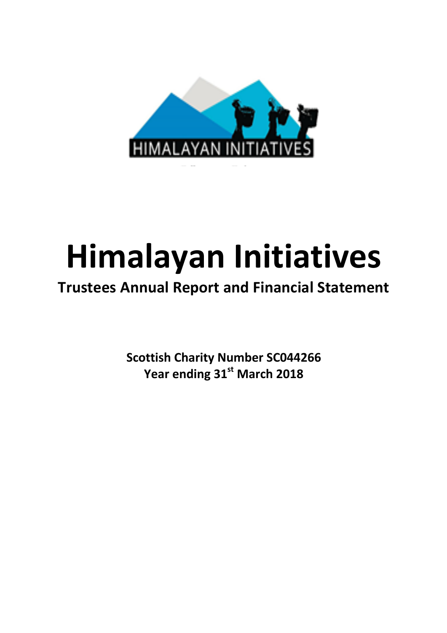

# **Himalayan Initiatives**

# **Trustees Annual Report and Financial Statement**

**Scottish Charity Number SC044266** Year ending 31<sup>st</sup> March 2018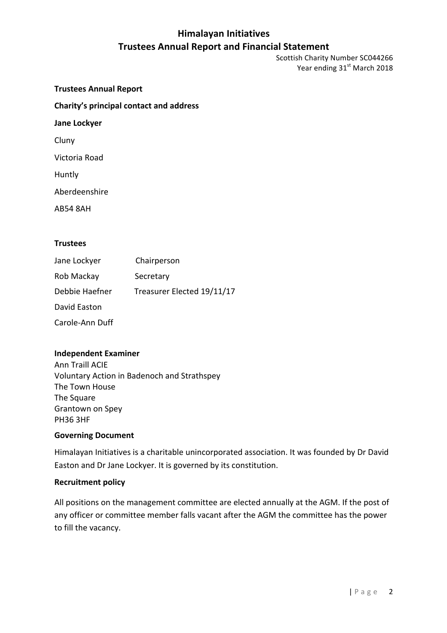Scottish Charity Number SC044266 Year ending 31<sup>st</sup> March 2018

**Trustees Annual Report Charity's principal contact and address Jane Lockyer** Cluny Victoria Road Huntly Aberdeenshire

AB54 8AH

#### **Trustees**

| Jane Lockyer    | Chairperson                |
|-----------------|----------------------------|
| Rob Mackay      | Secretary                  |
| Debbie Haefner  | Treasurer Elected 19/11/17 |
| David Easton    |                            |
| Carole-Ann Duff |                            |

#### **Independent Examiner**

Ann Traill ACIE Voluntary Action in Badenoch and Strathspey The Town House The Square Grantown on Spey PH36 3HF

#### **Governing Document**

Himalayan Initiatives is a charitable unincorporated association. It was founded by Dr David Easton and Dr Jane Lockyer. It is governed by its constitution.

#### **Recruitment policy**

All positions on the management committee are elected annually at the AGM. If the post of any officer or committee member falls vacant after the AGM the committee has the power to fill the vacancy.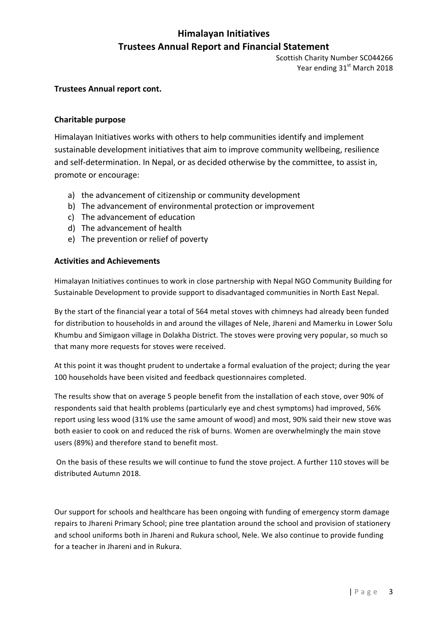Scottish Charity Number SC044266 Year ending 31<sup>st</sup> March 2018

#### **Trustees Annual report cont.**

#### **Charitable purpose**

Himalayan Initiatives works with others to help communities identify and implement sustainable development initiatives that aim to improve community wellbeing, resilience and self-determination. In Nepal, or as decided otherwise by the committee, to assist in, promote or encourage:

- a) the advancement of citizenship or community development
- b) The advancement of environmental protection or improvement
- c) The advancement of education
- d) The advancement of health
- e) The prevention or relief of poverty

#### **Activities and Achievements**

Himalayan Initiatives continues to work in close partnership with Nepal NGO Community Building for Sustainable Development to provide support to disadvantaged communities in North East Nepal.

By the start of the financial year a total of 564 metal stoves with chimneys had already been funded for distribution to households in and around the villages of Nele, Jhareni and Mamerku in Lower Solu Khumbu and Simigaon village in Dolakha District. The stoves were proving very popular, so much so that many more requests for stoves were received.

At this point it was thought prudent to undertake a formal evaluation of the project; during the vear 100 households have been visited and feedback questionnaires completed.

The results show that on average 5 people benefit from the installation of each stove, over 90% of respondents said that health problems (particularly eye and chest symptoms) had improved, 56% report using less wood (31% use the same amount of wood) and most, 90% said their new stove was both easier to cook on and reduced the risk of burns. Women are overwhelmingly the main stove users (89%) and therefore stand to benefit most.

On the basis of these results we will continue to fund the stove project. A further 110 stoves will be distributed Autumn 2018.

Our support for schools and healthcare has been ongoing with funding of emergency storm damage repairs to Jhareni Primary School; pine tree plantation around the school and provision of stationery and school uniforms both in Jhareni and Rukura school, Nele. We also continue to provide funding for a teacher in Jhareni and in Rukura.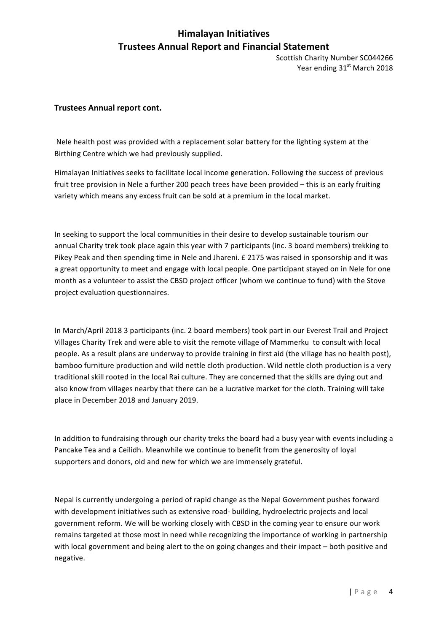Scottish Charity Number SC044266 Year ending 31<sup>st</sup> March 2018

#### **Trustees Annual report cont.**

Nele health post was provided with a replacement solar battery for the lighting system at the Birthing Centre which we had previously supplied.

Himalayan Initiatives seeks to facilitate local income generation. Following the success of previous fruit tree provision in Nele a further 200 peach trees have been provided - this is an early fruiting variety which means any excess fruit can be sold at a premium in the local market.

In seeking to support the local communities in their desire to develop sustainable tourism our annual Charity trek took place again this year with 7 participants (inc. 3 board members) trekking to Pikey Peak and then spending time in Nele and Jhareni. £ 2175 was raised in sponsorship and it was a great opportunity to meet and engage with local people. One participant stayed on in Nele for one month as a volunteer to assist the CBSD project officer (whom we continue to fund) with the Stove project evaluation questionnaires.

In March/April 2018 3 participants (inc. 2 board members) took part in our Everest Trail and Project Villages Charity Trek and were able to visit the remote village of Mammerku to consult with local people. As a result plans are underway to provide training in first aid (the village has no health post), bamboo furniture production and wild nettle cloth production. Wild nettle cloth production is a very traditional skill rooted in the local Rai culture. They are concerned that the skills are dying out and also know from villages nearby that there can be a lucrative market for the cloth. Training will take place in December 2018 and January 2019.

In addition to fundraising through our charity treks the board had a busy year with events including a Pancake Tea and a Ceilidh. Meanwhile we continue to benefit from the generosity of loyal supporters and donors, old and new for which we are immensely grateful.

Nepal is currently undergoing a period of rapid change as the Nepal Government pushes forward with development initiatives such as extensive road- building, hydroelectric projects and local government reform. We will be working closely with CBSD in the coming year to ensure our work remains targeted at those most in need while recognizing the importance of working in partnership with local government and being alert to the on going changes and their impact - both positive and negative.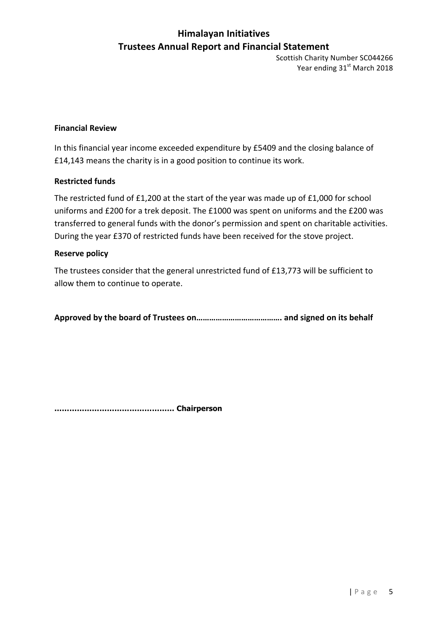Scottish Charity Number SC044266 Year ending 31<sup>st</sup> March 2018

#### **Financial Review**

In this financial year income exceeded expenditure by £5409 and the closing balance of  $£14,143$  means the charity is in a good position to continue its work.

#### **Restricted funds**

The restricted fund of  $£1,200$  at the start of the year was made up of  $£1,000$  for school uniforms and  $£200$  for a trek deposit. The  $£1000$  was spent on uniforms and the  $£200$  was transferred to general funds with the donor's permission and spent on charitable activities. During the year £370 of restricted funds have been received for the stove project.

#### **Reserve policy**

The trustees consider that the general unrestricted fund of £13,773 will be sufficient to allow them to continue to operate.

Approved by the board of Trustees on……………………………………………… and signed on its behalf

**………………………………………… Chairperson**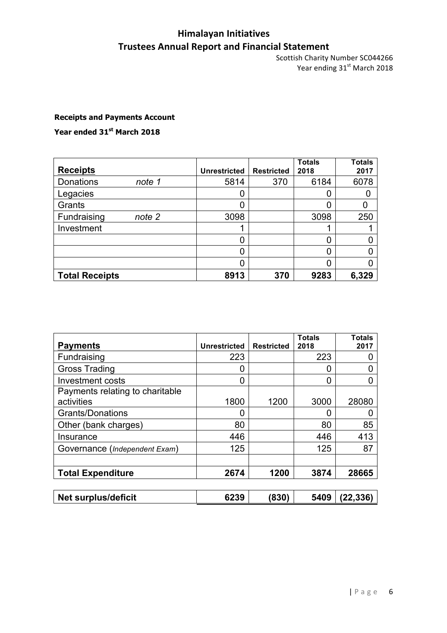Scottish Charity Number SC044266 Year ending 31<sup>st</sup> March 2018

#### **Receipts and Payments Account**

**Year ended 31st March 2018**

| <b>Receipts</b>       |        | <b>Unrestricted</b> | <b>Restricted</b> | <b>Totals</b><br>2018 | <b>Totals</b><br>2017 |
|-----------------------|--------|---------------------|-------------------|-----------------------|-----------------------|
| <b>Donations</b>      | note 1 | 5814                | 370               | 6184                  | 6078                  |
| Legacies              |        |                     |                   |                       |                       |
| Grants                |        |                     |                   |                       |                       |
| Fundraising           | note 2 | 3098                |                   | 3098                  | 250                   |
| Investment            |        |                     |                   |                       |                       |
|                       |        |                     |                   |                       |                       |
|                       |        |                     |                   |                       |                       |
|                       |        |                     |                   |                       |                       |
| <b>Total Receipts</b> |        | 8913                | 370               | 9283                  | 6,329                 |

| <b>Payments</b>                               | <b>Unrestricted</b> | <b>Restricted</b> | <b>Totals</b><br>2018 | <b>Totals</b><br>2017 |
|-----------------------------------------------|---------------------|-------------------|-----------------------|-----------------------|
| Fundraising                                   | 223                 |                   | 223                   |                       |
| <b>Gross Trading</b>                          | 0                   |                   |                       |                       |
| <b>Investment costs</b>                       | 0                   |                   | n                     |                       |
| Payments relating to charitable<br>activities | 1800                | 1200              | 3000                  | 28080                 |
| <b>Grants/Donations</b>                       |                     |                   |                       |                       |
| Other (bank charges)                          | 80                  |                   | 80                    | 85                    |
| Insurance                                     | 446                 |                   | 446                   | 413                   |
| Governance (Independent Exam)                 | 125                 |                   | 125                   | 87                    |
| <b>Total Expenditure</b>                      | 2674                | 1200              | 3874                  | 28665                 |
| <b>Net surplus/deficit</b>                    | 6239                | (830              | 5409                  | (22,336)              |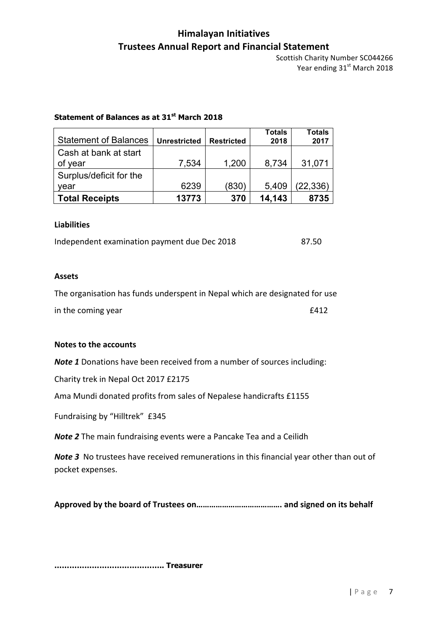Scottish Charity Number SC044266 Year ending 31<sup>st</sup> March 2018

#### **Statement of Balances as at 31st March 2018**

| <b>Statement of Balances</b> | <b>Unrestricted</b> | <b>Restricted</b> | <b>Totals</b><br>2018 | <b>Totals</b><br>2017 |
|------------------------------|---------------------|-------------------|-----------------------|-----------------------|
| Cash at bank at start        |                     |                   |                       |                       |
| of year                      | 7,534               | 1,200             | 8,734                 | 31,071                |
| Surplus/deficit for the      |                     |                   |                       |                       |
| vear                         | 6239                | (830)             | 5,409                 | (22, 336)             |
| <b>Total Receipts</b>        | 13773               | 370               | 14,143                | 8735                  |

#### **Liabilities**

Independent examination payment due Dec 2018 87.50

#### **Assets**

The organisation has funds underspent in Nepal which are designated for use in the coming year £412

#### **Notes to the accounts**

*Note 1* Donations have been received from a number of sources including:

Charity trek in Nepal Oct 2017 £2175

Ama Mundi donated profits from sales of Nepalese handicrafts £1155

Fundraising by "Hilltrek" £345

*Note* 2 The main fundraising events were a Pancake Tea and a Ceilidh

*Note* 3 No trustees have received remunerations in this financial year other than out of pocket expenses.

Approved by the board of Trustees on……………………………………………… and signed on its behalf

**…………………………………….. Treasurer**